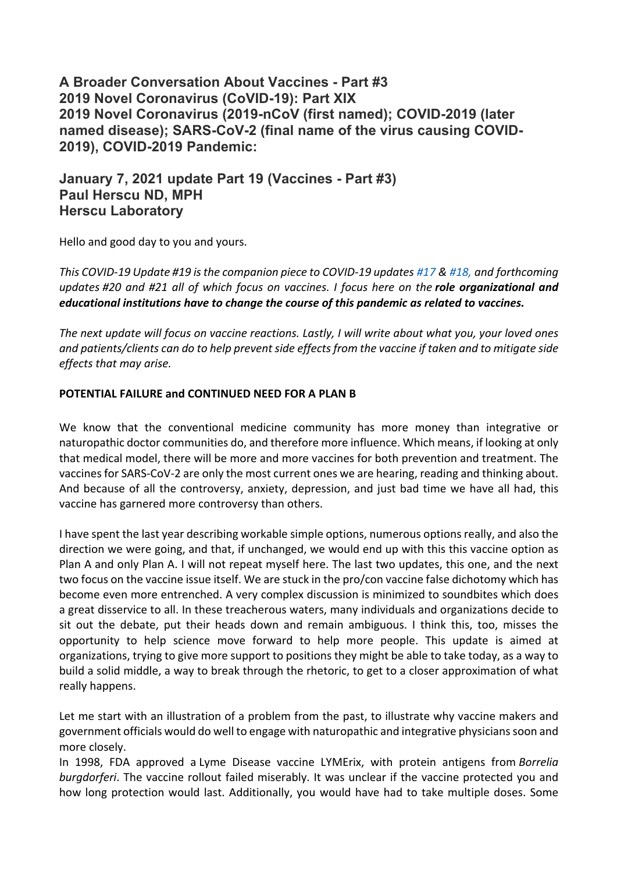**A Broader Conversation About Vaccines - Part #3 2019 Novel Coronavirus (CoVID-19): Part XIX 2019 Novel Coronavirus (2019-nCoV (first named); COVID-2019 (later named disease); SARS-CoV-2 (final name of the virus causing COVID-2019), COVID-2019 Pandemic:**

# **January 7, 2021 update Part 19 (Vaccines - Part #3) Paul Herscu ND, MPH Herscu Laboratory**

Hello and good day to you and yours.

*This COVID-19 Update #19 is the companion piece to COVID-19 updates #17 & #18, and forthcoming updates #20 and #21 all of which focus on vaccines. I focus here on the role organizational and educational institutions have to change the course of this pandemic as related to vaccines.*

*The next update will focus on vaccine reactions. Lastly, I will write about what you, your loved ones and patients/clients can do to help prevent side effects from the vaccine if taken and to mitigate side effects that may arise.*

## **POTENTIAL FAILURE and CONTINUED NEED FOR A PLAN B**

We know that the conventional medicine community has more money than integrative or naturopathic doctor communities do, and therefore more influence. Which means, if looking at only that medical model, there will be more and more vaccines for both prevention and treatment. The vaccines for SARS-CoV-2 are only the most current ones we are hearing, reading and thinking about. And because of all the controversy, anxiety, depression, and just bad time we have all had, this vaccine has garnered more controversy than others.

I have spent the last year describing workable simple options, numerous options really, and also the direction we were going, and that, if unchanged, we would end up with this this vaccine option as Plan A and only Plan A. I will not repeat myself here. The last two updates, this one, and the next two focus on the vaccine issue itself. We are stuck in the pro/con vaccine false dichotomy which has become even more entrenched. A very complex discussion is minimized to soundbites which does a great disservice to all. In these treacherous waters, many individuals and organizations decide to sit out the debate, put their heads down and remain ambiguous. I think this, too, misses the opportunity to help science move forward to help more people. This update is aimed at organizations, trying to give more support to positions they might be able to take today, as a way to build a solid middle, a way to break through the rhetoric, to get to a closer approximation of what really happens.

Let me start with an illustration of a problem from the past, to illustrate why vaccine makers and government officials would do well to engage with naturopathic and integrative physicians soon and more closely.

In 1998, FDA approved a Lyme Disease vaccine LYMErix, with protein antigens from *Borrelia burgdorferi*. The vaccine rollout failed miserably. It was unclear if the vaccine protected you and how long protection would last. Additionally, you would have had to take multiple doses. Some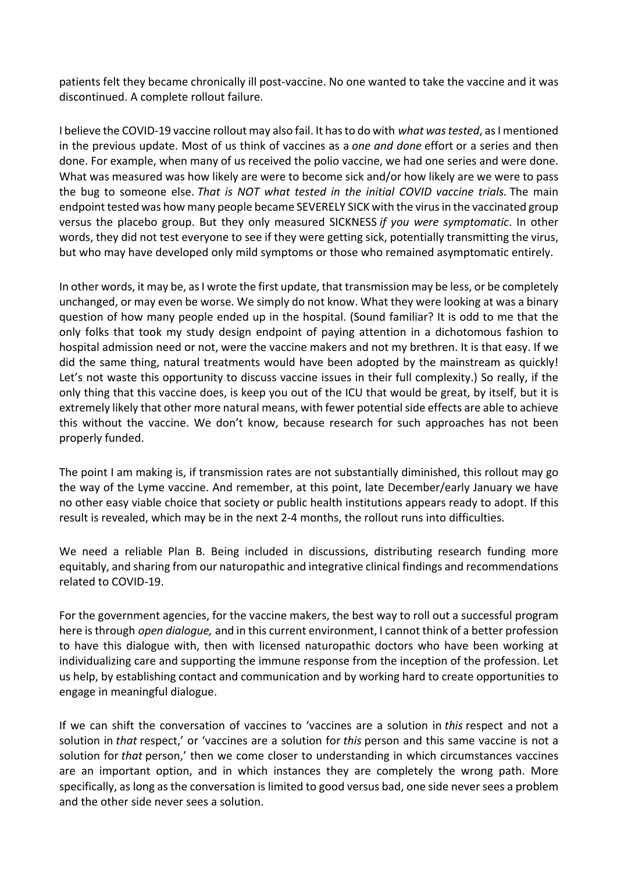patients felt they became chronically ill post-vaccine. No one wanted to take the vaccine and it was discontinued. A complete rollout failure.

I believe the COVID-19 vaccine rollout may also fail. It has to do with *what was tested*, as I mentioned in the previous update. Most of us think of vaccines as a *one and done* effort or a series and then done. For example, when many of us received the polio vaccine, we had one series and were done. What was measured was how likely are were to become sick and/or how likely are we were to pass the bug to someone else. *That is NOT what tested in the initial COVID vaccine trials.* The main endpoint tested was how many people became SEVERELY SICK with the virus in the vaccinated group versus the placebo group. But they only measured SICKNESS *if you were symptomatic*. In other words, they did not test everyone to see if they were getting sick, potentially transmitting the virus, but who may have developed only mild symptoms or those who remained asymptomatic entirely.

In other words, it may be, as I wrote the first update, that transmission may be less, or be completely unchanged, or may even be worse. We simply do not know. What they were looking at was a binary question of how many people ended up in the hospital. (Sound familiar? It is odd to me that the only folks that took my study design endpoint of paying attention in a dichotomous fashion to hospital admission need or not, were the vaccine makers and not my brethren. It is that easy. If we did the same thing, natural treatments would have been adopted by the mainstream as quickly! Let's not waste this opportunity to discuss vaccine issues in their full complexity.) So really, if the only thing that this vaccine does, is keep you out of the ICU that would be great, by itself, but it is extremely likely that other more natural means, with fewer potential side effects are able to achieve this without the vaccine. We don't know, because research for such approaches has not been properly funded.

The point I am making is, if transmission rates are not substantially diminished, this rollout may go the way of the Lyme vaccine. And remember, at this point, late December/early January we have no other easy viable choice that society or public health institutions appears ready to adopt. If this result is revealed, which may be in the next 2-4 months, the rollout runs into difficulties.

We need a reliable Plan B. Being included in discussions, distributing research funding more equitably, and sharing from our naturopathic and integrative clinical findings and recommendations related to COVID-19.

For the government agencies, for the vaccine makers, the best way to roll out a successful program here is through *open dialogue,* and in this current environment, I cannot think of a better profession to have this dialogue with, then with licensed naturopathic doctors who have been working at individualizing care and supporting the immune response from the inception of the profession. Let us help, by establishing contact and communication and by working hard to create opportunities to engage in meaningful dialogue.

If we can shift the conversation of vaccines to 'vaccines are a solution in *this* respect and not a solution in *that* respect,' or 'vaccines are a solution for *this* person and this same vaccine is not a solution for *that* person,' then we come closer to understanding in which circumstances vaccines are an important option, and in which instances they are completely the wrong path. More specifically, as long as the conversation is limited to good versus bad, one side never sees a problem and the other side never sees a solution.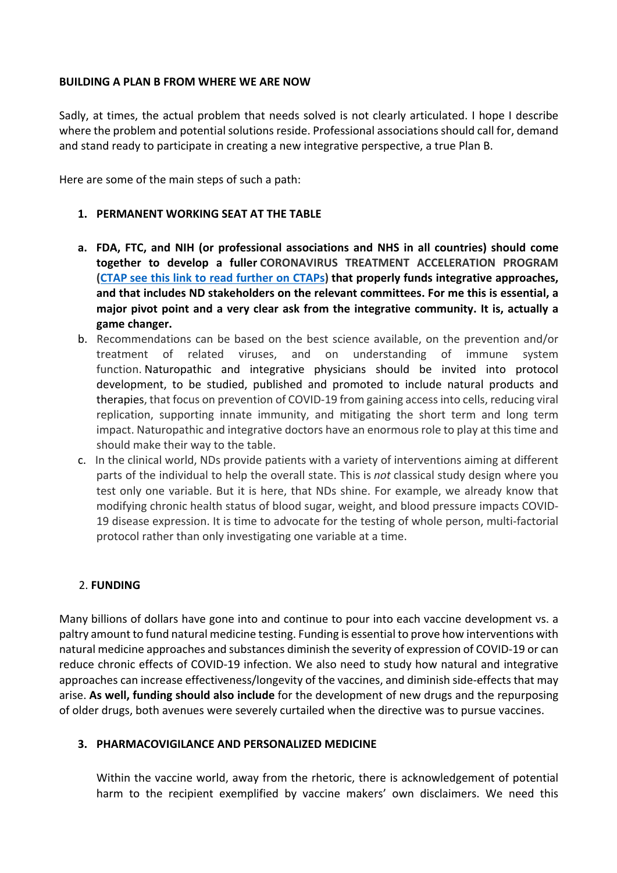### **BUILDING A PLAN B FROM WHERE WE ARE NOW**

Sadly, at times, the actual problem that needs solved is not clearly articulated. I hope I describe where the problem and potential solutions reside. Professional associations should call for, demand and stand ready to participate in creating a new integrative perspective, a true Plan B.

Here are some of the main steps of such a path:

#### **1. PERMANENT WORKING SEAT AT THE TABLE**

- **a. FDA, FTC, and NIH (or professional associations and NHS in all countries) should come together to develop a fuller CORONAVIRUS TREATMENT ACCELERATION PROGRAM (CTAP see this link to read further on CTAPs) that properly funds integrative approaches, and that includes ND stakeholders on the relevant committees. For me this is essential, a major pivot point and a very clear ask from the integrative community. It is, actually a game changer.**
- b. Recommendations can be based on the best science available, on the prevention and/or treatment of related viruses, and on understanding of immune system function. Naturopathic and integrative physicians should be invited into protocol development, to be studied, published and promoted to include natural products and therapies, that focus on prevention of COVID-19 from gaining access into cells, reducing viral replication, supporting innate immunity, and mitigating the short term and long term impact. Naturopathic and integrative doctors have an enormous role to play at this time and should make their way to the table.
- c. In the clinical world, NDs provide patients with a variety of interventions aiming at different parts of the individual to help the overall state. This is *not* classical study design where you test only one variable. But it is here, that NDs shine. For example, we already know that modifying chronic health status of blood sugar, weight, and blood pressure impacts COVID-19 disease expression. It is time to advocate for the testing of whole person, multi-factorial protocol rather than only investigating one variable at a time.

### 2. **FUNDING**

Many billions of dollars have gone into and continue to pour into each vaccine development vs. a paltry amount to fund natural medicine testing. Funding is essential to prove how interventions with natural medicine approaches and substances diminish the severity of expression of COVID-19 or can reduce chronic effects of COVID-19 infection. We also need to study how natural and integrative approaches can increase effectiveness/longevity of the vaccines, and diminish side-effects that may arise. **As well, funding should also include** for the development of new drugs and the repurposing of older drugs, both avenues were severely curtailed when the directive was to pursue vaccines.

#### **3. PHARMACOVIGILANCE AND PERSONALIZED MEDICINE**

Within the vaccine world, away from the rhetoric, there is acknowledgement of potential harm to the recipient exemplified by vaccine makers' own disclaimers. We need this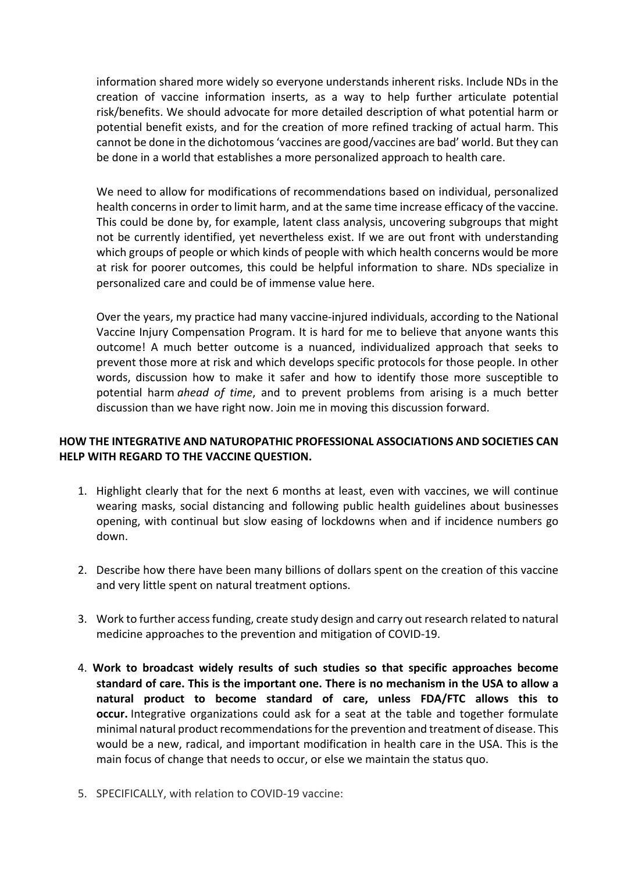information shared more widely so everyone understands inherent risks. Include NDs in the creation of vaccine information inserts, as a way to help further articulate potential risk/benefits. We should advocate for more detailed description of what potential harm or potential benefit exists, and for the creation of more refined tracking of actual harm. This cannot be done in the dichotomous 'vaccines are good/vaccines are bad' world. But they can be done in a world that establishes a more personalized approach to health care.

We need to allow for modifications of recommendations based on individual, personalized health concerns in order to limit harm, and at the same time increase efficacy of the vaccine. This could be done by, for example, latent class analysis, uncovering subgroups that might not be currently identified, yet nevertheless exist. If we are out front with understanding which groups of people or which kinds of people with which health concerns would be more at risk for poorer outcomes, this could be helpful information to share. NDs specialize in personalized care and could be of immense value here.

Over the years, my practice had many vaccine-injured individuals, according to the National Vaccine Injury Compensation Program. It is hard for me to believe that anyone wants this outcome! A much better outcome is a nuanced, individualized approach that seeks to prevent those more at risk and which develops specific protocols for those people. In other words, discussion how to make it safer and how to identify those more susceptible to potential harm *ahead of time*, and to prevent problems from arising is a much better discussion than we have right now. Join me in moving this discussion forward.

## **HOW THE INTEGRATIVE AND NATUROPATHIC PROFESSIONAL ASSOCIATIONS AND SOCIETIES CAN HELP WITH REGARD TO THE VACCINE QUESTION.**

- 1. Highlight clearly that for the next 6 months at least, even with vaccines, we will continue wearing masks, social distancing and following public health guidelines about businesses opening, with continual but slow easing of lockdowns when and if incidence numbers go down.
- 2. Describe how there have been many billions of dollars spent on the creation of this vaccine and very little spent on natural treatment options.
- 3. Work to further access funding, create study design and carry out research related to natural medicine approaches to the prevention and mitigation of COVID-19.
- 4. **Work to broadcast widely results of such studies so that specific approaches become standard of care. This is the important one. There is no mechanism in the USA to allow a natural product to become standard of care, unless FDA/FTC allows this to occur.** Integrative organizations could ask for a seat at the table and together formulate minimal natural product recommendations for the prevention and treatment of disease. This would be a new, radical, and important modification in health care in the USA. This is the main focus of change that needs to occur, or else we maintain the status quo.
- 5. SPECIFICALLY, with relation to COVID-19 vaccine: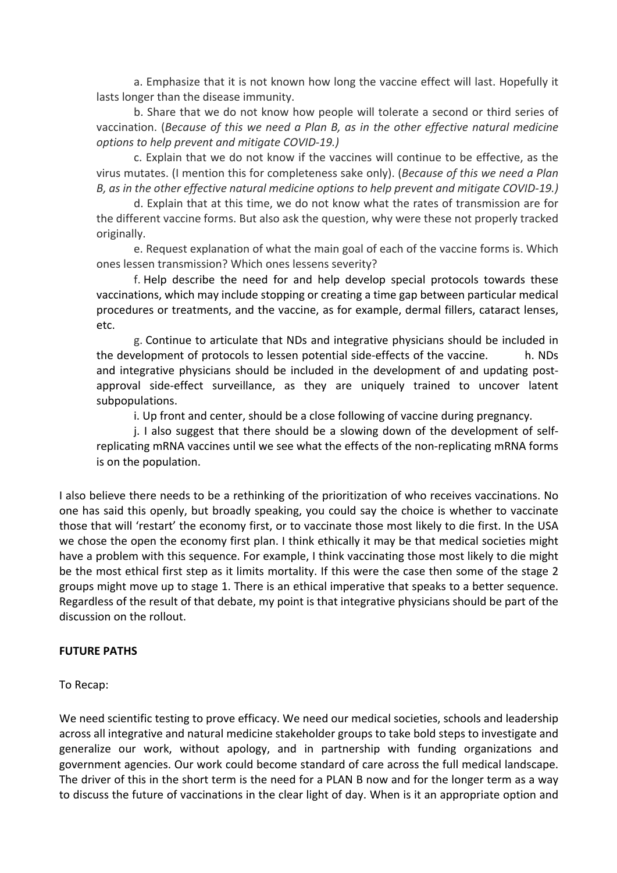a. Emphasize that it is not known how long the vaccine effect will last. Hopefully it lasts longer than the disease immunity.

b. Share that we do not know how people will tolerate a second or third series of vaccination. (*Because of this we need a Plan B, as in the other effective natural medicine options to help prevent and mitigate COVID-19.)*

c. Explain that we do not know if the vaccines will continue to be effective, as the virus mutates. (I mention this for completeness sake only). (*Because of this we need a Plan B, as in the other effective natural medicine options to help prevent and mitigate COVID-19.)*

d. Explain that at this time, we do not know what the rates of transmission are for the different vaccine forms. But also ask the question, why were these not properly tracked originally.

e. Request explanation of what the main goal of each of the vaccine forms is. Which ones lessen transmission? Which ones lessens severity?

f. Help describe the need for and help develop special protocols towards these vaccinations, which may include stopping or creating a time gap between particular medical procedures or treatments, and the vaccine, as for example, dermal fillers, cataract lenses, etc.

g. Continue to articulate that NDs and integrative physicians should be included in the development of protocols to lessen potential side-effects of the vaccine. h. NDs and integrative physicians should be included in the development of and updating postapproval side-effect surveillance, as they are uniquely trained to uncover latent subpopulations.

i. Up front and center, should be a close following of vaccine during pregnancy.

j. I also suggest that there should be a slowing down of the development of selfreplicating mRNA vaccines until we see what the effects of the non-replicating mRNA forms is on the population.

I also believe there needs to be a rethinking of the prioritization of who receives vaccinations. No one has said this openly, but broadly speaking, you could say the choice is whether to vaccinate those that will 'restart' the economy first, or to vaccinate those most likely to die first. In the USA we chose the open the economy first plan. I think ethically it may be that medical societies might have a problem with this sequence. For example, I think vaccinating those most likely to die might be the most ethical first step as it limits mortality. If this were the case then some of the stage 2 groups might move up to stage 1. There is an ethical imperative that speaks to a better sequence. Regardless of the result of that debate, my point is that integrative physicians should be part of the discussion on the rollout.

#### **FUTURE PATHS**

### To Recap:

We need scientific testing to prove efficacy. We need our medical societies, schools and leadership across all integrative and natural medicine stakeholder groups to take bold steps to investigate and generalize our work, without apology, and in partnership with funding organizations and government agencies. Our work could become standard of care across the full medical landscape. The driver of this in the short term is the need for a PLAN B now and for the longer term as a way to discuss the future of vaccinations in the clear light of day. When is it an appropriate option and